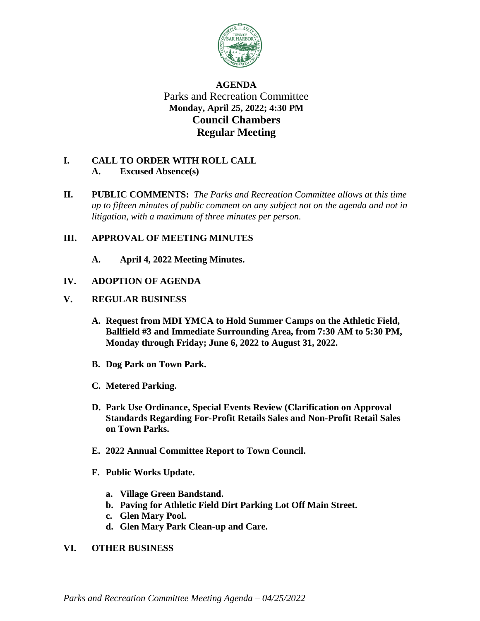

# **AGENDA** Parks and Recreation Committee **Monday, April 25, 2022; 4:30 PM Council Chambers Regular Meeting**

### **I. CALL TO ORDER WITH ROLL CALL A. Excused Absence(s)**

**II. PUBLIC COMMENTS:** *The Parks and Recreation Committee allows at this time up to fifteen minutes of public comment on any subject not on the agenda and not in litigation, with a maximum of three minutes per person.*

### **III. APPROVAL OF MEETING MINUTES**

**A. April 4, 2022 Meeting Minutes.**

## **IV. ADOPTION OF AGENDA**

### **V. REGULAR BUSINESS**

- **A. Request from MDI YMCA to Hold Summer Camps on the Athletic Field, Ballfield #3 and Immediate Surrounding Area, from 7:30 AM to 5:30 PM, Monday through Friday; June 6, 2022 to August 31, 2022.**
- **B. Dog Park on Town Park.**
- **C. Metered Parking.**
- **D. Park Use Ordinance, Special Events Review (Clarification on Approval Standards Regarding For-Profit Retails Sales and Non-Profit Retail Sales on Town Parks.**
- **E. 2022 Annual Committee Report to Town Council.**
- **F. Public Works Update.**
	- **a. Village Green Bandstand.**
	- **b. Paving for Athletic Field Dirt Parking Lot Off Main Street.**
	- **c. Glen Mary Pool.**
	- **d. Glen Mary Park Clean-up and Care.**

### **VI. OTHER BUSINESS**